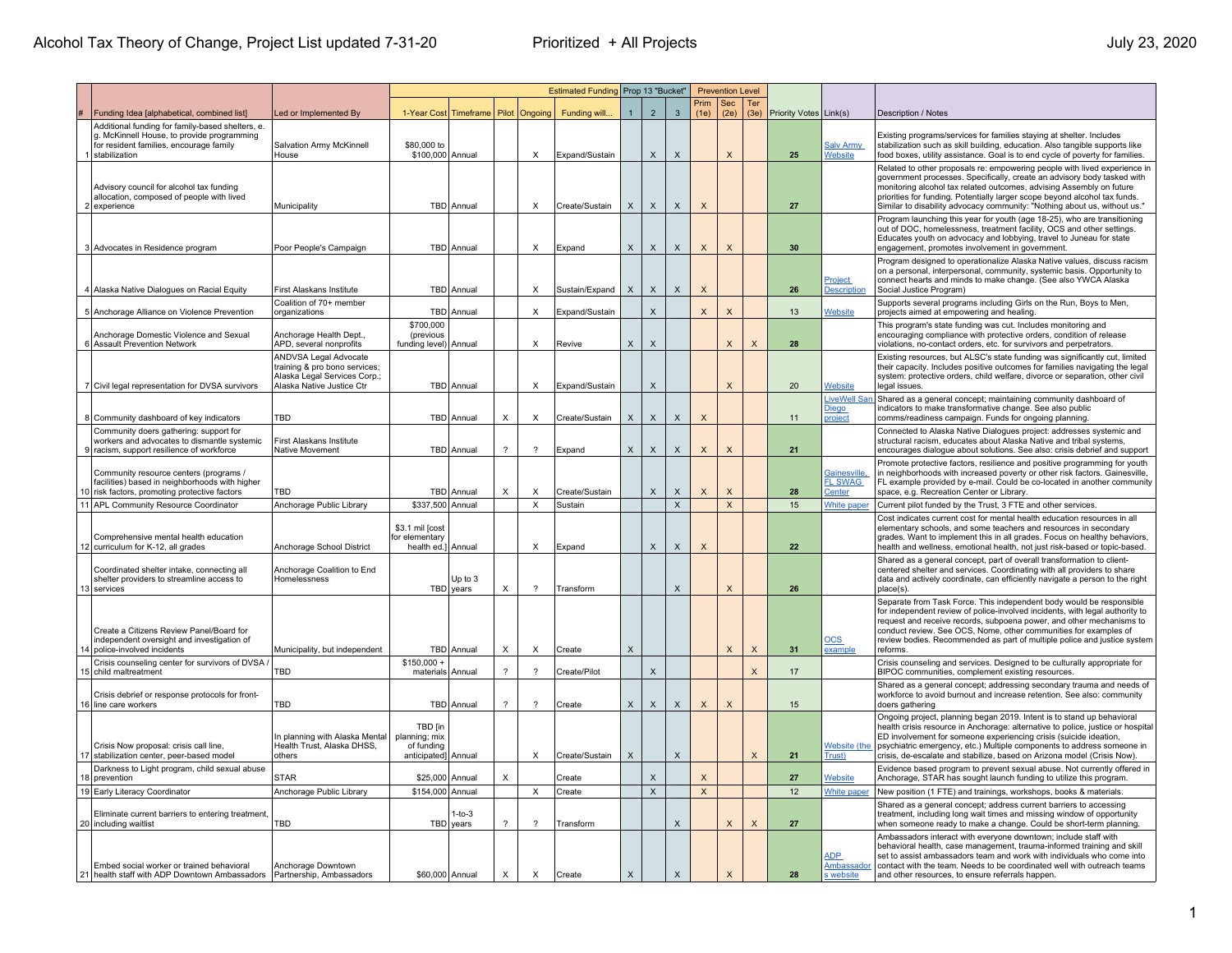|                                                                                                                                                            |                                                                                                                            |                                                               |                                         |                          |                           | Estimated Funding Prop 13 "Bucket" |                | <b>Prevention Level</b>   |                           |                           |                           |             |                               |                                                |                                                                                                                                                                                                                                                                                                                                                                                         |
|------------------------------------------------------------------------------------------------------------------------------------------------------------|----------------------------------------------------------------------------------------------------------------------------|---------------------------------------------------------------|-----------------------------------------|--------------------------|---------------------------|------------------------------------|----------------|---------------------------|---------------------------|---------------------------|---------------------------|-------------|-------------------------------|------------------------------------------------|-----------------------------------------------------------------------------------------------------------------------------------------------------------------------------------------------------------------------------------------------------------------------------------------------------------------------------------------------------------------------------------------|
| Funding Idea [alphabetical, combined list]                                                                                                                 | ed or Implemented By                                                                                                       |                                                               | 1-Year Cost Timeframe   Pilot   Ongoing |                          |                           | Funding will.                      | $\overline{1}$ | $\overline{2}$            | $\mathbf{3}$              | Prim<br>(1e)              | Sec<br>(2e)               | Ter<br>(3e) | <b>Priority Votes Link(s)</b> |                                                | Description / Notes                                                                                                                                                                                                                                                                                                                                                                     |
| Additional funding for family-based shelters, e.<br>g. McKinnell House, to provide programming<br>for resident families, encourage family<br>stabilization | Salvation Army McKinnell<br>House                                                                                          | \$80,000 to<br>\$100,000 Annual                               |                                         |                          | Х                         | Expand/Sustain                     |                | X                         | X                         |                           | X                         |             | 25                            | <b>Salv Army</b><br><b>Nebsite</b>             | Existing programs/services for families staying at shelter. Includes<br>stabilization such as skill building, education. Also tangible supports like<br>food boxes, utility assistance. Goal is to end cycle of poverty for families.                                                                                                                                                   |
| Advisory council for alcohol tax funding<br>allocation, composed of people with lived<br>2 experience                                                      | Municipality                                                                                                               |                                                               | TBD Annual                              |                          | $\boldsymbol{\mathsf{X}}$ | Create/Sustain                     | $\times$       | $\mathsf X$               | $\mathsf{X}$              | X                         |                           |             | 27                            |                                                | Related to other proposals re: empowering people with lived experience in<br>government processes. Specifically, create an advisory body tasked with<br>monitoring alcohol tax related outcomes, advising Assembly on future<br>priorities for funding. Potentially larger scope beyond alcohol tax funds.<br>Similar to disability advocacy community: "Nothing about us, without us." |
| 3 Advocates in Residence program                                                                                                                           | Poor People's Campaign                                                                                                     |                                                               | TBD Annual                              |                          | X                         | Expand                             | $\times$       | X                         | X                         | X                         | $\times$                  |             | 30                            |                                                | Program launching this year for youth (age 18-25), who are transitioning<br>out of DOC, homelessness, treatment facility, OCS and other settings.<br>Educates youth on advocacy and lobbying, travel to Juneau for state<br>engagement, promotes involvement in government.                                                                                                             |
| 4 Alaska Native Dialogues on Racial Equity                                                                                                                 | First Alaskans Institute                                                                                                   |                                                               | TBD Annual                              |                          | $\times$                  | Sustain/Expand                     | X              | X                         | X                         | $\times$                  |                           |             | 26                            | Project<br><b>Description</b>                  | Program designed to operationalize Alaska Native values, discuss racism<br>on a personal, interpersonal, community, systemic basis. Opportunity to<br>connect hearts and minds to make change. (See also YWCA Alaska<br>Social Justice Program)                                                                                                                                         |
| 5 Anchorage Alliance on Violence Prevention                                                                                                                | Coalition of 70+ member<br>organizations                                                                                   |                                                               | TBD Annual                              |                          | $\times$                  | Expand/Sustain                     |                | $\boldsymbol{\mathsf{X}}$ |                           | $\boldsymbol{\mathsf{X}}$ | $\boldsymbol{\mathsf{X}}$ |             | 13                            | Website                                        | Supports several programs including Girls on the Run, Boys to Men,<br>projects aimed at empowering and healing                                                                                                                                                                                                                                                                          |
| Anchorage Domestic Violence and Sexual<br>6 Assault Prevention Network                                                                                     | Anchorage Health Dept.<br>APD, several nonprofits                                                                          | \$700,000<br>(previous<br>funding level) Annual               |                                         |                          | $\times$                  | Revive                             | X              | $\times$                  |                           |                           | X                         | $\mathsf X$ | 28                            |                                                | This program's state funding was cut. Includes monitoring and<br>encouraging compliance with protective orders, condition of release<br>violations, no-contact orders, etc. for survivors and perpetrators.                                                                                                                                                                             |
| 7 Civil legal representation for DVSA survivors                                                                                                            | <b>ANDVSA Legal Advocate</b><br>training & pro bono services;<br>Alaska Legal Services Corp.;<br>Alaska Native Justice Ctr |                                                               | <b>TBD</b> Annual                       |                          | $\times$                  | Expand/Sustain                     |                | $\times$                  |                           |                           | $\times$                  |             | 20                            | <u>Nebsite</u>                                 | Existing resources, but ALSC's state funding was significantly cut, limited<br>their capacity. Includes positive outcomes for families navigating the legal<br>system: protective orders, child welfare, divorce or separation, other civil<br>legal issues                                                                                                                             |
| 8 Community dashboard of key indicators                                                                                                                    | TBD                                                                                                                        |                                                               | TBD Annual                              | $\pmb{\times}$           | $\times$                  | Create/Sustain                     | X              | X                         | X                         | $\boldsymbol{\mathsf{X}}$ |                           |             | 11                            | LiveWell Sar<br><u>Diego</u><br><b>project</b> | Shared as a general concept; maintaining community dashboard of<br>indicators to make transformative change. See also public<br>comms/readiness campaign. Funds for ongoing planning.                                                                                                                                                                                                   |
| Community doers gathering: support for<br>workers and advocates to dismantle systemic<br>9 racism, support resilience of workforce                         | First Alaskans Institute<br>Native Movement                                                                                |                                                               | TBD Annual                              | $\overline{\mathcal{L}}$ | 2                         | Expand                             | X              | $\boldsymbol{\mathsf{X}}$ | $\boldsymbol{\mathsf{X}}$ | X                         | $\times$                  |             | 21                            |                                                | Connected to Alaska Native Dialogues project: addresses systemic and<br>structural racism, educates about Alaska Native and tribal systems,<br>encourages dialogue about solutions. See also: crisis debrief and support                                                                                                                                                                |
| Community resource centers (programs /<br>facilities) based in neighborhoods with higher<br>10 risk factors, promoting protective factors                  | TBD                                                                                                                        |                                                               | TBD Annual                              | $\times$                 | $\times$                  | Create/Sustain                     |                | $\boldsymbol{\mathsf{X}}$ | X                         | X                         | $\boldsymbol{\mathsf{X}}$ |             | 28                            | <u>Gainesville</u><br><b>FL SWAG</b><br>Center | Promote protective factors, resilience and positive programming for youth<br>in neighborhoods with increased poverty or other risk factors. Gainesville,<br>FL example provided by e-mail. Could be co-located in another community<br>space, e.g. Recreation Center or Library                                                                                                         |
| 11 APL Community Resource Coordinator                                                                                                                      | Anchorage Public Library                                                                                                   | \$337,500 Annual                                              |                                         |                          | $\boldsymbol{\mathsf{x}}$ | Sustain                            |                |                           | X                         |                           | X                         |             | 15                            | White paper                                    | Current pilot funded by the Trust, 3 FTE and other services.                                                                                                                                                                                                                                                                                                                            |
| Comprehensive mental health education<br>12 curriculum for K-12, all grades                                                                                | Anchorage School District                                                                                                  | \$3.1 mil [cost<br>for elementary<br>health ed.] Annual       |                                         |                          | $\mathsf X$               | Expand                             |                | $\mathsf X$               | $\mathsf X$               | X                         |                           |             | 22                            |                                                | Cost indicates current cost for mental health education resources in all<br>elementary schools, and some teachers and resources in secondary<br>grades. Want to implement this in all grades. Focus on healthy behaviors,<br>health and wellness, emotional health, not just risk-based or topic-based.                                                                                 |
| Coordinated shelter intake, connecting all<br>shelter providers to streamline access to<br>13 services                                                     | Anchorage Coalition to End<br>Homelessness                                                                                 |                                                               | Up to 3<br><b>TBD</b> vears             | $\times$                 | $\mathcal{P}$             | Transform                          |                |                           | X                         |                           | $\mathsf{x}$              |             | 26                            |                                                | Shared as a general concept, part of overall transformation to client-<br>centered shelter and services. Coordinating with all providers to share<br>data and actively coordinate, can efficiently navigate a person to the right<br>place(s)                                                                                                                                           |
| Create a Citizens Review Panel/Board for<br>independent oversight and investigation of<br>14 police-involved incidents                                     | Municipality, but independent                                                                                              |                                                               | TBD Annual                              | X                        | X                         | Create                             | X              |                           |                           |                           | $\times$                  | X           | 31                            | $_{\rm OCS}$<br>example                        | Separate from Task Force. This independent body would be responsible<br>for independent review of police-involved incidents, with legal authority to<br>request and receive records, subpoena power, and other mechanisms to<br>conduct review. See OCS, Nome, other communities for examples of<br>review bodies. Recommended as part of multiple police and justice system<br>reforms |
| Crisis counseling center for survivors of DVSA<br>15 child maltreatment                                                                                    | TBD                                                                                                                        | $$150,000 -$<br>materials Annual                              |                                         | $\overline{\mathcal{L}}$ | 2                         | Create/Pilot                       |                | $\boldsymbol{\mathsf{X}}$ |                           |                           |                           | $\mathsf X$ | 17                            |                                                | Crisis counseling and services. Designed to be culturally appropriate for<br>BIPOC communities, complement existing resources.                                                                                                                                                                                                                                                          |
| Crisis debrief or response protocols for front-<br>16 line care workers                                                                                    | TBD                                                                                                                        |                                                               | TBD Annual                              | $\overline{\mathcal{E}}$ | 2                         | Create                             | X              | $\boldsymbol{\mathsf{X}}$ | $\boldsymbol{\mathsf{X}}$ | X                         | $\boldsymbol{\mathsf{X}}$ |             | 15                            |                                                | Shared as a general concept; addressing secondary trauma and needs of<br>workforce to avoid burnout and increase retention. See also: community<br>doers gathering                                                                                                                                                                                                                      |
| Crisis Now proposal: crisis call line,<br>17 stabilization center, peer-based model                                                                        | In planning with Alaska Mental<br>Health Trust, Alaska DHSS,<br>others                                                     | TBD lin<br>planning; mix<br>of funding<br>anticipated] Annual |                                         |                          | Х                         | Create/Sustain                     | X              |                           | X                         |                           |                           | X           | 21                            | <b>Nebsite</b> (the<br>Trust)                  | Ongoing project, planning began 2019. Intent is to stand up behavioral<br>health crisis resource in Anchorage: alternative to police, justice or hospital<br>ED involvement for someone experiencing crisis (suicide ideation,<br>psychiatric emergency, etc.) Multiple components to address someone in<br>crisis, de-escalate and stabilize, based on Arizona model (Crisis Now).     |
| Darkness to Light program, child sexual abuse<br>18 prevention                                                                                             | <b>STAR</b>                                                                                                                | \$25,000 Annual                                               |                                         | $\pmb{\times}$           |                           | Create                             |                | X                         |                           | $\times$                  |                           |             | 27                            | <u>Nebsite</u>                                 | Evidence based program to prevent sexual abuse. Not currently offered in<br>Anchorage, STAR has sought launch funding to utilize this program.                                                                                                                                                                                                                                          |
| 19 Early Literacy Coordinator                                                                                                                              | Anchorage Public Library                                                                                                   | \$154,000 Annual                                              |                                         |                          | X                         | Create                             |                | $\mathsf X$               |                           | $\boldsymbol{\mathsf{X}}$ |                           |             | 12                            | White paper                                    | New position (1 FTE) and trainings, workshops, books & materials.                                                                                                                                                                                                                                                                                                                       |
| Eliminate current barriers to entering treatment,<br>20 including waitlist                                                                                 | TBD                                                                                                                        |                                                               | $1 - 10 - 3$<br>TBD years               | $\overline{\mathcal{L}}$ | $\mathcal{P}$             | Transform                          |                |                           | X                         |                           | X                         | $\mathsf X$ | 27                            |                                                | Shared as a general concept; address current barriers to accessing<br>treatment, including long wait times and missing window of opportunity<br>when someone ready to make a change. Could be short-term planning                                                                                                                                                                       |
| Embed social worker or trained behavioral<br>21 health staff with ADP Downtown Ambassadors                                                                 | Anchorage Downtown<br>Partnership, Ambassadors                                                                             | \$60,000 Annual                                               |                                         | $\pmb{\times}$           | Х                         | Create                             | $\mathsf X$    |                           | $\mathsf X$               |                           | $\boldsymbol{\mathsf{X}}$ |             | 28                            | ADP<br>Ambassador<br>s website                 | Ambassadors interact with everyone downtown; include staff with<br>behavioral health, case management, trauma-informed training and skill<br>set to assist ambassadors team and work with individuals who come into<br>contact with the team. Needs to be coordinated well with outreach teams<br>and other resources, to ensure referrals happen.                                      |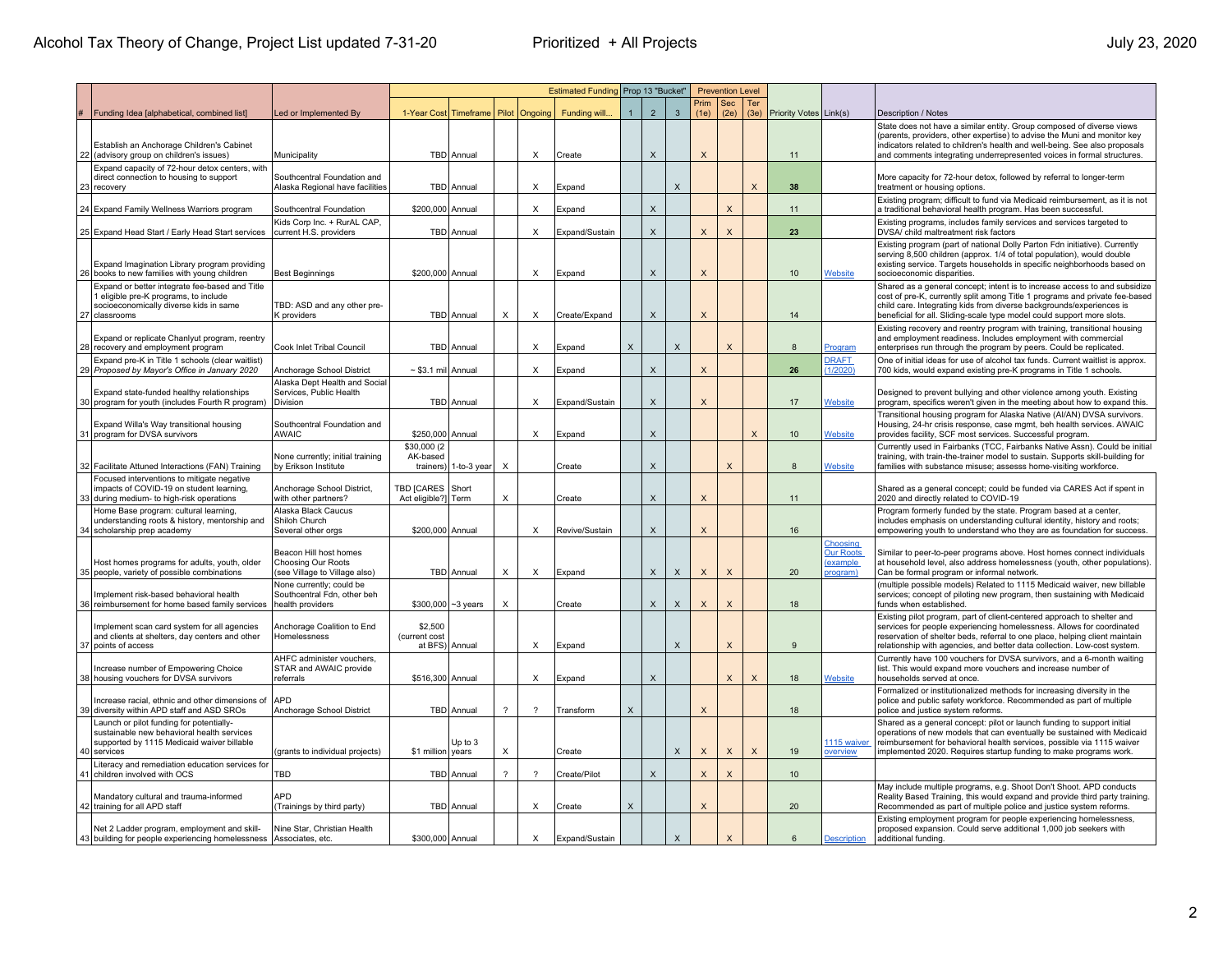|                                                                                                                                                     |                                                                              | Estimated Funding Prop 13 "Bucket"<br><b>Prevention Level</b> |                           |                          |                          |                |              |                           |              |                           |                    |              |                        |                                                     |                                                                                                                                                                                                                                                                                                             |
|-----------------------------------------------------------------------------------------------------------------------------------------------------|------------------------------------------------------------------------------|---------------------------------------------------------------|---------------------------|--------------------------|--------------------------|----------------|--------------|---------------------------|--------------|---------------------------|--------------------|--------------|------------------------|-----------------------------------------------------|-------------------------------------------------------------------------------------------------------------------------------------------------------------------------------------------------------------------------------------------------------------------------------------------------------------|
| #   Funding Idea [alphabetical, combined list]                                                                                                      | Led or Implemented By                                                        | 1-Year Cost Timeframe   Pilot                                 |                           |                          | Ongoing                  | Funding will.  | $\mathbf{1}$ | $\overline{2}$            | $\mathbf{3}$ | Prim<br>(1e)              | <b>Sec</b><br>(2e) | Ter<br>(3e)  | Priority Votes Link(s) |                                                     | Description / Notes                                                                                                                                                                                                                                                                                         |
| Establish an Anchorage Children's Cabinet<br>22 (advisory group on children's issues)                                                               | Municipality                                                                 |                                                               | TBD   Annual              |                          | X                        | Create         |              | X                         |              | X                         |                    |              | 11                     |                                                     | State does not have a similar entity. Group composed of diverse views<br>(parents, providers, other expertise) to advise the Muni and monitor key<br>indicators related to children's health and well-being. See also proposals<br>and comments integrating underrepresented voices in formal structures.   |
| Expand capacity of 72-hour detox centers, with<br>direct connection to housing to support<br>23 recovery                                            | Southcentral Foundation and<br>Alaska Regional have facilities               |                                                               | TBD Annual                |                          | X                        | Expand         |              |                           | X            |                           |                    | $\mathsf{x}$ | 38                     |                                                     | More capacity for 72-hour detox, followed by referral to longer-term<br>treatment or housing options                                                                                                                                                                                                        |
| 24 Expand Family Wellness Warriors program                                                                                                          | Southcentral Foundation                                                      | \$200,000 Annual                                              |                           |                          | X                        | Expand         |              | $\boldsymbol{\mathsf{X}}$ |              |                           | X                  |              | 11                     |                                                     | Existing program; difficult to fund via Medicaid reimbursement, as it is not<br>a traditional behavioral health program. Has been successful.                                                                                                                                                               |
| 25 Expand Head Start / Early Head Start services                                                                                                    | Kids Corp Inc. + RurAL CAP,<br>current H.S. providers                        |                                                               | TBD Annual                |                          | Х                        | Expand/Sustain |              | X                         |              | X                         | $\times$           |              | 23                     |                                                     | Existing programs, includes family services and services targeted to<br>DVSA/ child maltreatment risk factors                                                                                                                                                                                               |
| Expand Imagination Library program providing<br>26 books to new families with young children                                                        | <b>Best Beginnings</b>                                                       | \$200,000 Annual                                              |                           |                          | Х                        | Expand         |              | X                         |              | X                         |                    |              | 10                     | Website                                             | Existing program (part of national Dolly Parton Fdn initiative). Currently<br>serving 8,500 children (approx. 1/4 of total population), would double<br>existing service. Targets households in specific neighborhoods based on<br>socioeconomic disparities.                                               |
| Expand or better integrate fee-based and Title<br>1 eligible pre-K programs, to include<br>socioeconomically diverse kids in same<br>27 classrooms  | TBD: ASD and any other pre-<br>K providers                                   |                                                               | TBD   Annual              | х                        | Х                        | Create/Expand  |              | X                         |              | X                         |                    |              | 14                     |                                                     | Shared as a general concept; intent is to increase access to and subsidize<br>cost of pre-K, currently split among Title 1 programs and private fee-based<br>child care. Integrating kids from diverse backgrounds/experiences is<br>beneficial for all. Sliding-scale type model could support more slots. |
| Expand or replicate Chanlyut program, reentry<br>28 recovery and employment program                                                                 | Cook Inlet Tribal Council                                                    |                                                               | TBD Annual                |                          | X                        | Expand         | $\times$     |                           | X            |                           | X                  |              | 8                      | Program                                             | Existing recovery and reentry program with training, transitional housing<br>and employment readiness. Includes employment with commercial<br>enterprises run through the program by peers. Could be replicated.                                                                                            |
| Expand pre-K in Title 1 schools (clear waitlist)<br>29 Proposed by Mayor's Office in January 2020                                                   | Anchorage School District                                                    | $\sim$ \$3.1 mil Annual                                       |                           |                          | $\times$                 | Expand         |              | $\mathsf X$               |              | $\mathsf{x}$              |                    |              | 26                     | <b>DRAFT</b><br>(1/2020)                            | One of initial ideas for use of alcohol tax funds. Current waitlist is approx.<br>700 kids, would expand existing pre-K programs in Title 1 schools.                                                                                                                                                        |
| Expand state-funded healthy relationships<br>30 program for youth (includes Fourth R program)                                                       | Alaska Dept Health and Social<br>Services, Public Health<br>Division         |                                                               | TBD   Annual              |                          | Х                        | Expand/Sustain |              | $\mathsf X$               |              | X                         |                    |              | 17                     | Website                                             | Designed to prevent bullying and other violence among youth. Existing<br>program, specifics weren't given in the meeting about how to expand this.                                                                                                                                                          |
| Expand Willa's Way transitional housing<br>31 program for DVSA survivors                                                                            | Southcentral Foundation and<br><b>AWAIC</b>                                  | \$250,000 Annual                                              |                           |                          | Х                        | Expand         |              | $\mathsf X$               |              |                           |                    | $\mathsf X$  | 10                     | <b>Website</b>                                      | Transitional housing program for Alaska Native (Al/AN) DVSA survivors.<br>Housing, 24-hr crisis response, case mgmt, beh health services. AWAIC<br>provides facility, SCF most services. Successful program.                                                                                                |
| 32 Facilitate Attuned Interactions (FAN) Training                                                                                                   | None currently; initial training<br>by Erikson Institute                     | \$30,000 (2<br>AK-based                                       | trainers) $ 1$ -to-3 year | X                        |                          | Create         |              | $\mathsf X$               |              |                           | $\times$           |              | 8                      | Website                                             | Currently used in Fairbanks (TCC, Fairbanks Native Assn). Could be initial<br>training, with train-the-trainer model to sustain. Supports skill-building for<br>families with substance misuse; assesss home-visiting workforce.                                                                            |
| Focused interventions to mitigate negative<br>impacts of COVID-19 on student learning,<br>33 during medium- to high-risk operations                 | Anchorage School District,<br>with other partners?                           | TBD [CARES Short<br>Act eligible?] Term                       |                           | X                        |                          | Create         |              | X                         |              | X                         |                    |              | 11                     |                                                     | Shared as a general concept; could be funded via CARES Act if spent in<br>2020 and directly related to COVID-19                                                                                                                                                                                             |
| Home Base program: cultural learning,<br>understanding roots & history, mentorship and<br>34 scholarship prep academy                               | Alaska Black Caucus<br>Shiloh Church<br>Several other orgs                   | \$200,000 Annual                                              |                           |                          | X                        | Revive/Sustain |              | $\mathsf X$               |              | $\times$                  |                    |              | 16                     |                                                     | Program formerly funded by the state. Program based at a center,<br>includes emphasis on understanding cultural identity, history and roots;<br>empowering youth to understand who they are as foundation for success.                                                                                      |
| Host homes programs for adults, youth, older<br>35 people, variety of possible combinations                                                         | Beacon Hill host homes<br>Choosing Our Roots<br>see Village to Village also) |                                                               | TBD Annual                | X                        | X                        | Expand         |              | $\mathsf X$               | X            | $\boldsymbol{\mathsf{X}}$ | $\times$           |              | 20                     | Choosing<br><b>Our Roots</b><br>example<br>program) | Similar to peer-to-peer programs above. Host homes connect individuals<br>at household level, also address homelessness (youth, other populations)<br>Can be formal program or informal network.                                                                                                            |
| Implement risk-based behavioral health<br>36 reimbursement for home based family services                                                           | None currently; could be<br>Southcentral Fdn, other beh<br>health providers  | \$300,000 ~ 3 years                                           |                           | X                        |                          | Create         |              | $\mathsf X$               | $\mathsf{x}$ | $\times$                  | X                  |              | 18                     |                                                     | (multiple possible models) Related to 1115 Medicaid waiver, new billable<br>services; concept of piloting new program, then sustaining with Medicaid<br>funds when established.                                                                                                                             |
| Implement scan card system for all agencies<br>and clients at shelters, day centers and other<br>37 points of access                                | Anchorage Coalition to End<br>Homelessness                                   | \$2,500<br>(current cost<br>at BFS) Annual                    |                           |                          | Х                        | Expand         |              |                           | X            |                           | X                  |              | 9                      |                                                     | Existing pilot program, part of client-centered approach to shelter and<br>services for people experiencing homelessness. Allows for coordinated<br>reservation of shelter beds, referral to one place, helping client maintain<br>relationship with agencies, and better data collection. Low-cost system. |
| Increase number of Empowering Choice<br>38 housing vouchers for DVSA survivors                                                                      | AHFC administer vouchers.<br>STAR and AWAIC provide<br>referrals             | \$516,300 Annual                                              |                           |                          | X                        | Expand         |              | $\mathsf X$               |              |                           | X                  | X            | 18                     | <b>Website</b>                                      | Currently have 100 vouchers for DVSA survivors, and a 6-month waiting<br>list. This would expand more vouchers and increase number of<br>households served at once.                                                                                                                                         |
| Increase racial, ethnic and other dimensions of<br>39 diversity within APD staff and ASD SROs                                                       | APD<br>Anchorage School District                                             |                                                               | TBD Annual                | $\overline{\phantom{0}}$ | $\overline{\phantom{0}}$ | Transform      | X            |                           |              | X                         |                    |              | 18                     |                                                     | Formalized or institutionalized methods for increasing diversity in the<br>police and public safety workforce. Recommended as part of multiple<br>police and justice system reforms.                                                                                                                        |
| Launch or pilot funding for potentially-<br>sustainable new behavioral health services<br>supported by 1115 Medicaid waiver billable<br>40 services | (grants to individual projects)                                              | \$1 million vears                                             | Up to 3                   | X                        |                          | Create         |              |                           | X            | $\boldsymbol{\mathsf{x}}$ | $\mathsf X$        | $\mathsf X$  | 19                     | 1115 waiver<br>overview                             | Shared as a general concept: pilot or launch funding to support initial<br>operations of new models that can eventually be sustained with Medicaid<br>reimbursement for behavioral health services, possible via 1115 waiver<br>implemented 2020. Requires startup funding to make programs work            |
| Literacy and remediation education services for<br>41 children involved with OCS                                                                    | TBD                                                                          |                                                               | TBD Annual                | $\mathcal{P}$            | - ?                      | Create/Pilot   |              | $\mathsf X$               |              | $\boldsymbol{\mathsf{X}}$ | $\times$           |              | 10                     |                                                     |                                                                                                                                                                                                                                                                                                             |
| Mandatory cultural and trauma-informed<br>42 training for all APD staff                                                                             | APD<br>(Trainings by third party)                                            |                                                               | TBD Annual                |                          | X                        | Create         | X            |                           |              | $\times$                  |                    |              | 20                     |                                                     | May include multiple programs, e.g. Shoot Don't Shoot. APD conducts<br>Reality Based Training, this would expand and provide third party training.<br>Recommended as part of multiple police and justice system reforms.                                                                                    |
| Net 2 Ladder program, employment and skill-<br>43 building for people experiencing homelessness Associates, etc.                                    | Nine Star, Christian Health                                                  | \$300,000 Annual                                              |                           |                          | $\times$                 | Expand/Sustain |              |                           | $\mathsf X$  |                           | $\mathsf{x}$       |              | 6                      | <b>Description</b>                                  | Existing employment program for people experiencing homelessness,<br>proposed expansion. Could serve additional 1,000 job seekers with<br>additional funding.                                                                                                                                               |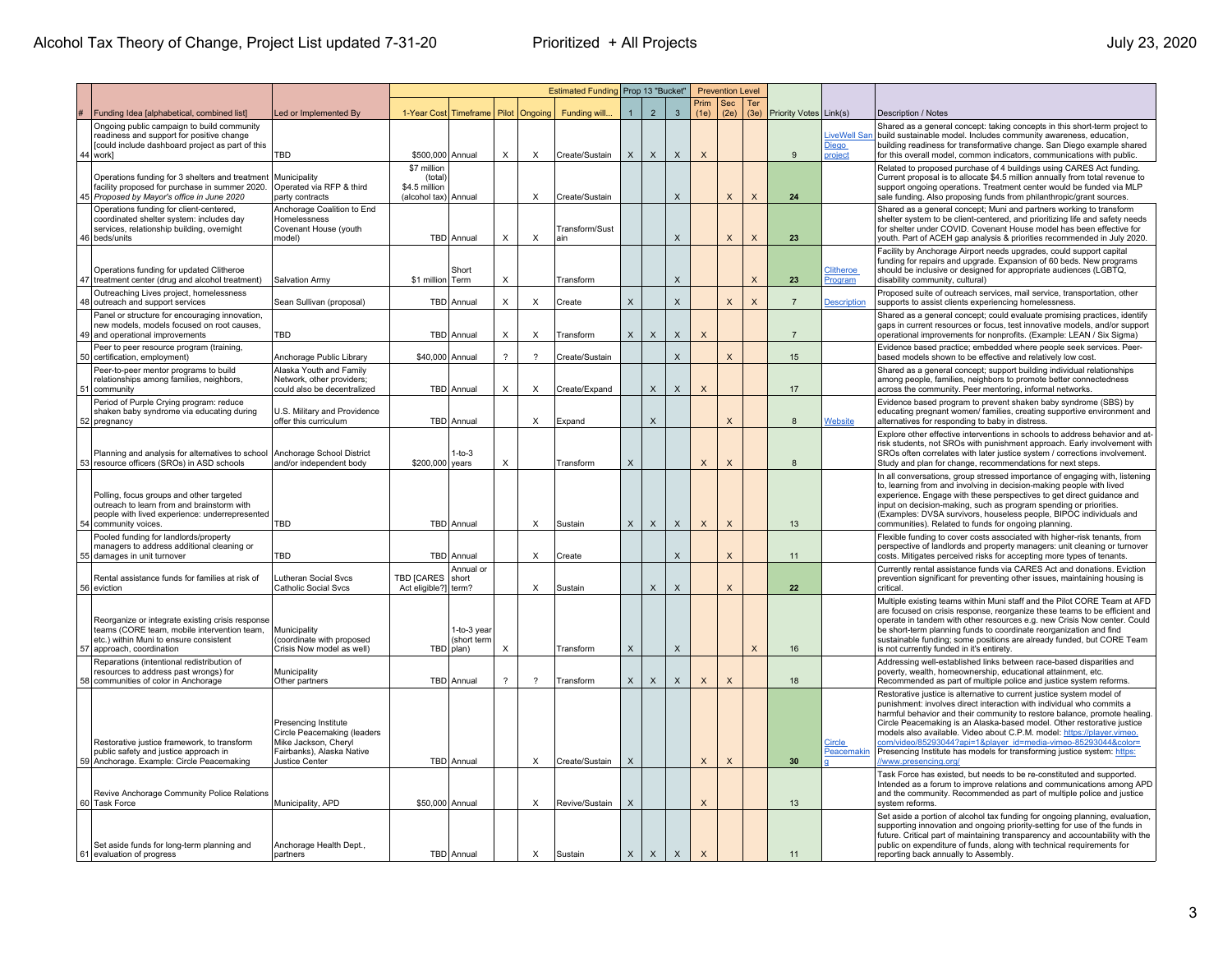|    |                                                                                                                                                                          |                                                                                                                                   |                                                                 |                                           |                           |                          | Estimated Funding Prop 13 "Bucket" |                |                           |                           |                           | <b>Prevention Level</b>   |              |                        |                                               |                                                                                                                                                                                                                                                                                                                                                                                                                                                                                                                                                     |
|----|--------------------------------------------------------------------------------------------------------------------------------------------------------------------------|-----------------------------------------------------------------------------------------------------------------------------------|-----------------------------------------------------------------|-------------------------------------------|---------------------------|--------------------------|------------------------------------|----------------|---------------------------|---------------------------|---------------------------|---------------------------|--------------|------------------------|-----------------------------------------------|-----------------------------------------------------------------------------------------------------------------------------------------------------------------------------------------------------------------------------------------------------------------------------------------------------------------------------------------------------------------------------------------------------------------------------------------------------------------------------------------------------------------------------------------------------|
|    | Funding Idea [alphabetical, combined list]                                                                                                                               | Led or Implemented By                                                                                                             | 1-Year Cost Timeframe                                           |                                           | Pilot                     | Ongoing                  | Funding will                       | $\overline{1}$ | $\overline{2}$            | $\mathbf{3}$              | Prim<br>(1e)              | Sec<br>(2e)               | Ter<br>(3e)  | Priority Votes Link(s) |                                               | Description / Notes                                                                                                                                                                                                                                                                                                                                                                                                                                                                                                                                 |
|    | Ongoing public campaign to build community<br>readiness and support for positive change<br>[could include dashboard project as part of this<br>44 work]                  | TBD                                                                                                                               | \$500,000 Annual                                                |                                           | $\times$                  | $\times$                 | Create/Sustain                     | X              | $\mathsf X$               | $\mathsf{X}$              | $\boldsymbol{\mathsf{X}}$ |                           |              | 9                      | <b>iveWell Sar</b><br><u>Diego</u><br>project | Shared as a general concept: taking concepts in this short-term project to<br>build sustainable model. Includes community awareness, education,<br>building readiness for transformative change. San Diego example shared<br>for this overall model, common indicators, communications with public.                                                                                                                                                                                                                                                 |
|    | Operations funding for 3 shelters and treatment<br>facility proposed for purchase in summer 2020.<br>45 Proposed by Mayor's office in June 2020                          | Municipality<br>Operated via RFP & third<br>party contracts                                                                       | \$7 million<br>(total)<br>\$4.5 million<br>(alcohol tax) Annual |                                           |                           | Х                        | Create/Sustain                     |                |                           | X                         |                           | $\times$                  | $\times$     | 24                     |                                               | Related to proposed purchase of 4 buildings using CARES Act funding.<br>Current proposal is to allocate \$4.5 million annually from total revenue to<br>support ongoing operations. Treatment center would be funded via MLP<br>sale funding. Also proposing funds from philanthropic/grant sources                                                                                                                                                                                                                                                 |
|    | Operations funding for client-centered,<br>coordinated shelter system: includes day<br>services, relationship building, overnight<br>46 beds/units                       | Anchorage Coalition to End<br>Homelessness<br>Covenant House (youth<br>model)                                                     |                                                                 | TBD Annual                                | X                         | $\times$                 | Transform/Sust<br>ain              |                |                           | $\boldsymbol{\mathsf{X}}$ |                           | $\times$                  | $\mathsf{x}$ | 23                     |                                               | Shared as a general concept; Muni and partners working to transform<br>shelter system to be client-centered, and prioritizing life and safety needs<br>for shelter under COVID. Covenant House model has been effective for<br>youth. Part of ACEH gap analysis & priorities recommended in July 2020.                                                                                                                                                                                                                                              |
| 47 | Operations funding for updated Clitheroe<br>treatment center (drug and alcohol treatment)                                                                                | Salvation Army                                                                                                                    | \$1 million Term                                                | Short                                     | X                         |                          | Transform                          |                |                           | $\boldsymbol{\mathsf{X}}$ |                           |                           | $\mathsf{x}$ | 23                     | <b>Clitheroe</b><br>Program                   | Facility by Anchorage Airport needs upgrades, could support capital<br>funding for repairs and upgrade. Expansion of 60 beds. New programs<br>should be inclusive or designed for appropriate audiences (LGBTQ,<br>disability community, cultural)                                                                                                                                                                                                                                                                                                  |
|    | Outreaching Lives project, homelessness<br>48 outreach and support services                                                                                              | Sean Sullivan (proposal)                                                                                                          |                                                                 | TBD Annual                                | X                         | $\times$                 | Create                             | X              |                           | X                         |                           | $\times$                  | $\times$     | $\overline{7}$         | <b>Description</b>                            | Proposed suite of outreach services, mail service, transportation, other<br>supports to assist clients experiencing homelessness.                                                                                                                                                                                                                                                                                                                                                                                                                   |
|    | Panel or structure for encouraging innovation,<br>new models, models focused on root causes,<br>49 and operational improvements                                          | TBD                                                                                                                               |                                                                 | TBD Annual                                | X                         | Х                        | Transform                          | X              | X                         | X                         | $\times$                  |                           |              | $\overline{7}$         |                                               | Shared as a general concept; could evaluate promising practices, identify<br>gaps in current resources or focus, test innovative models, and/or support<br>operational improvements for nonprofits. (Example: LEAN / Six Sigma)                                                                                                                                                                                                                                                                                                                     |
|    | Peer to peer resource program (training,<br>50 certification, employment)                                                                                                | Anchorage Public Library                                                                                                          | \$40,000 Annual                                                 |                                           | $\overline{\mathcal{L}}$  | $\overline{\phantom{a}}$ | Create/Sustain                     |                |                           | $\boldsymbol{\mathsf{X}}$ |                           | $\times$                  |              | 15                     |                                               | Evidence based practice; embedded where people seek services. Peer-<br>based models shown to be effective and relatively low cost.                                                                                                                                                                                                                                                                                                                                                                                                                  |
| 51 | Peer-to-peer mentor programs to build<br>relationships among families, neighbors,<br>community                                                                           | Alaska Youth and Family<br>Network, other providers;<br>could also be decentralized                                               |                                                                 | TBD Annual                                | $\times$                  | Х                        | Create/Expand                      |                | $\mathsf{X}$              | $\mathsf{X}$              | $\boldsymbol{\mathsf{X}}$ |                           |              | 17                     |                                               | Shared as a general concept; support building individual relationships<br>among people, families, neighbors to promote better connectedness<br>across the community. Peer mentoring, informal networks.                                                                                                                                                                                                                                                                                                                                             |
|    | Period of Purple Crying program: reduce<br>shaken baby syndrome via educating during<br>52 pregnancy                                                                     | U.S. Military and Providence<br>offer this curriculum                                                                             |                                                                 | TBD Annual                                |                           | X                        | Expand                             |                | $\boldsymbol{\mathsf{X}}$ |                           |                           | $\mathsf{x}$              |              | 8                      | Website                                       | Evidence based program to prevent shaken baby syndrome (SBS) by<br>educating pregnant women/ families, creating supportive environment and<br>alternatives for responding to baby in distress.                                                                                                                                                                                                                                                                                                                                                      |
|    | Planning and analysis for alternatives to school<br>53 resource officers (SROs) in ASD schools                                                                           | Anchorage School District<br>and/or independent body                                                                              | \$200,000 years                                                 | $1-to-3$                                  | X                         |                          | Transform                          | X              |                           |                           | $\boldsymbol{\mathsf{X}}$ | $\times$                  |              | 8                      |                                               | Explore other effective interventions in schools to address behavior and at<br>risk students, not SROs with punishment approach. Early involvement with<br>SROs often correlates with later justice system / corrections involvement.<br>Study and plan for change, recommendations for next steps.                                                                                                                                                                                                                                                 |
|    | Polling, focus groups and other targeted<br>outreach to learn from and brainstorm with<br>people with lived experience: underrepresented<br>54 community voices          | TBD                                                                                                                               |                                                                 | TBD Annual                                |                           | X                        | Sustain                            | X              | $\mathsf X$               | $\mathsf{x}$              | $\mathsf{X}$              | $\boldsymbol{\mathsf{X}}$ |              | 13                     |                                               | In all conversations, group stressed importance of engaging with, listening<br>to, learning from and involving in decision-making people with lived<br>experience. Engage with these perspectives to get direct guidance and<br>input on decision-making, such as program spending or priorities.<br>(Examples: DVSA survivors, houseless people, BIPOC individuals and<br>communities). Related to funds for ongoing planning.                                                                                                                     |
|    | Pooled funding for landlords/property<br>managers to address additional cleaning or<br>55 damages in unit turnover                                                       | TBD                                                                                                                               |                                                                 | TBD Annual                                |                           | X                        | Create                             |                |                           | X                         |                           | $\boldsymbol{\mathsf{X}}$ |              | 11                     |                                               | Flexible funding to cover costs associated with higher-risk tenants, from<br>perspective of landlords and property managers: unit cleaning or turnover<br>costs. Mitigates perceived risks for accepting more types of tenants.                                                                                                                                                                                                                                                                                                                     |
|    | Rental assistance funds for families at risk of<br>56 eviction                                                                                                           | Lutheran Social Sycs<br>Catholic Social Svcs                                                                                      | <b>TBD ICARES</b><br>Act eligible?] term?                       | Annual or<br><b>short</b>                 |                           | X                        | Sustain                            |                | X                         | $\boldsymbol{\mathsf{X}}$ |                           | $\times$                  |              | 22                     |                                               | Currently rental assistance funds via CARES Act and donations. Eviction<br>prevention significant for preventing other issues, maintaining housing is<br>critical                                                                                                                                                                                                                                                                                                                                                                                   |
|    | Reorganize or integrate existing crisis response<br>teams (CORE team, mobile intervention team,<br>etc.) within Muni to ensure consistent<br>57   approach, coordination | Municipality<br>(coordinate with proposed<br>Crisis Now model as well)                                                            |                                                                 | 1-to-3 year<br>(short term<br>TBD   plan) | $\boldsymbol{\mathsf{X}}$ |                          | Transform                          | X              |                           | X                         |                           |                           | $\mathsf X$  | 16                     |                                               | Multiple existing teams within Muni staff and the Pilot CORE Team at AFD<br>are focused on crisis response, reorganize these teams to be efficient and<br>operate in tandem with other resources e.g. new Crisis Now center. Could<br>be short-term planning funds to coordinate reorganization and find<br>sustainable funding; some positions are already funded, but CORE Team<br>is not currently funded in it's entirety.                                                                                                                      |
|    | Reparations (intentional redistribution of<br>resources to address past wrongs) for<br>58 communities of color in Anchorage                                              | Municipality<br>Other partners                                                                                                    |                                                                 | TBD Annual                                | $\overline{?}$            | $\mathcal{P}$            | Transform                          | $\times$       | $\boldsymbol{\mathsf{x}}$ | X                         | $\mathsf X$               | $\boldsymbol{\mathsf{X}}$ |              | 18                     |                                               | Addressing well-established links between race-based disparities and<br>poverty, wealth, homeownership, educational attainment, etc.<br>Recommended as part of multiple police and justice system reforms.                                                                                                                                                                                                                                                                                                                                          |
|    | Restorative justice framework, to transform<br>public safety and justice approach in<br>59 Anchorage. Example: Circle Peacemaking                                        | Presencing Institute<br>Circle Peacemaking (leaders<br>Mike Jackson, Cheryl<br>Fairbanks), Alaska Native<br><b>Justice Center</b> |                                                                 | TBD Annual                                |                           | $\times$                 | Create/Sustain                     | X              |                           |                           | $\mathsf{X}$              | $\boldsymbol{\mathsf{X}}$ |              | 30                     | Circle<br>Peacemakin                          | Restorative justice is alternative to current justice system model of<br>punishment: involves direct interaction with individual who commits a<br>harmful behavior and their community to restore balance, promote healing.<br>Circle Peacemaking is an Alaska-based model. Other restorative justice<br>models also available. Video about C.P.M. model: https://player.vimeo.<br>com/video/85293044?api=1&player_id=media-vimeo-85293044&color=<br>Presencing Institute has models for transforming justice system: https:<br>www.presencing.org/ |
|    | Revive Anchorage Community Police Relations<br>60 Task Force                                                                                                             | Municipality, APD                                                                                                                 | \$50,000 Annual                                                 |                                           |                           | $\times$                 | Revive/Sustain                     | X              |                           |                           | $\times$                  |                           |              | 13                     |                                               | Task Force has existed, but needs to be re-constituted and supported.<br>Intended as a forum to improve relations and communications among APD<br>and the community. Recommended as part of multiple police and justice<br>system reforms                                                                                                                                                                                                                                                                                                           |
|    | Set aside funds for long-term planning and<br>61 evaluation of progress                                                                                                  | Anchorage Health Dept.,<br>partners                                                                                               |                                                                 | TBD Annual                                |                           | X                        | Sustain                            | $\mathsf{X}$   | $\mathsf X$               | $\mathsf X$               | $\mathsf{X}$              |                           |              | 11                     |                                               | Set aside a portion of alcohol tax funding for ongoing planning, evaluation,<br>supporting innovation and ongoing priority-setting for use of the funds in<br>future. Critical part of maintaining transparency and accountability with the<br>public on expenditure of funds, along with technical requirements for<br>reporting back annually to Assembly.                                                                                                                                                                                        |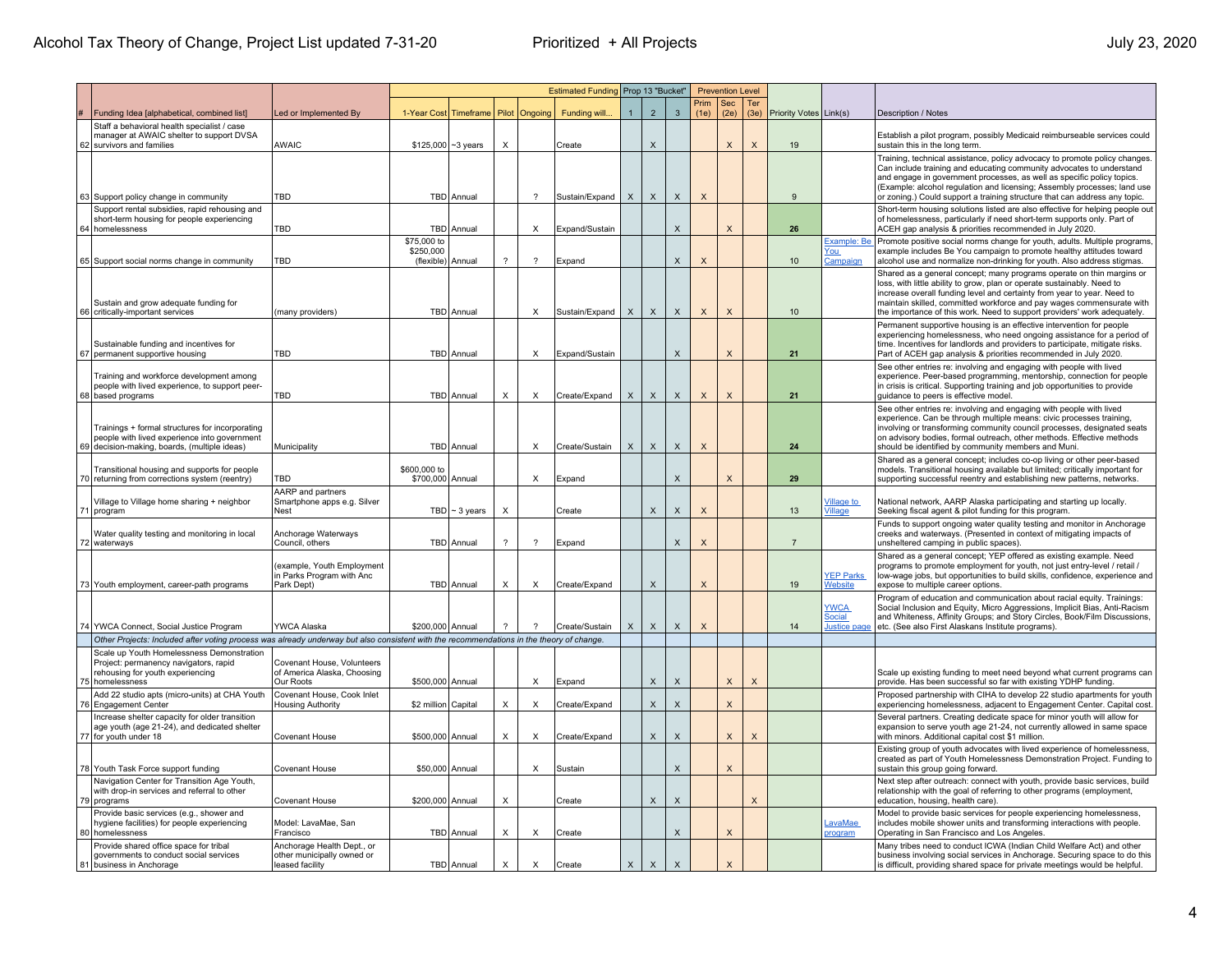|    |                                                                                                                                                 | Estimated Funding Prop 13 "Bucket"<br><b>Prevention Level</b>               |                                               |                    |               |                          |                |             |                           |                           |              |                           |                         |                        |                                       |                                                                                                                                                                                                                                                                                                                                                                                        |
|----|-------------------------------------------------------------------------------------------------------------------------------------------------|-----------------------------------------------------------------------------|-----------------------------------------------|--------------------|---------------|--------------------------|----------------|-------------|---------------------------|---------------------------|--------------|---------------------------|-------------------------|------------------------|---------------------------------------|----------------------------------------------------------------------------------------------------------------------------------------------------------------------------------------------------------------------------------------------------------------------------------------------------------------------------------------------------------------------------------------|
|    | Funding Idea [alphabetical, combined list]                                                                                                      | Led or Implemented By                                                       | 1-Year Cost Timeframe   Pilot                 |                    |               | Ongoing                  | Funding will.  | 1           | $\overline{2}$            | $\mathbf{3}$              | Prim<br>(1e) | Sec<br>(2e)               | Ter<br>(3e)             | Priority Votes Link(s) |                                       | <b>Description / Notes</b>                                                                                                                                                                                                                                                                                                                                                             |
|    | Staff a behavioral health specialist / case<br>manager at AWAIC shelter to support DVSA<br>62 survivors and families                            | <b>AWAIC</b>                                                                | $$125,000$ ~3 years                           |                    | $\times$      |                          | Create         |             | $\mathsf X$               |                           |              | $\mathsf X$               | $\mathsf X$             | 19                     |                                       | Establish a pilot program, possibly Medicaid reimburseable services could<br>sustain this in the long term.                                                                                                                                                                                                                                                                            |
|    | 63 Support policy change in community                                                                                                           | <b>TBD</b>                                                                  |                                               | TBD Annual         |               | $\overline{\phantom{0}}$ | Sustain/Expand | X           | $\times$                  | $\times$                  | $\times$     |                           |                         | 9                      |                                       | Training, technical assistance, policy advocacy to promote policy changes.<br>Can include training and educating community advocates to understand<br>and engage in government processes, as well as specific policy topics.<br>(Example: alcohol regulation and licensing; Assembly processes; land use<br>or zoning.) Could support a training structure that can address any topic. |
|    | Support rental subsidies, rapid rehousing and<br>short-term housing for people experiencing<br>64 homelessness                                  | TBD                                                                         |                                               | TBD Annual         |               | $\times$                 | Expand/Sustain |             |                           | $\mathsf{X}$              |              | $\times$                  |                         | 26                     |                                       | Short-term housing solutions listed are also effective for helping people out<br>of homelessness, particularly if need short-term supports only. Part of<br>ACEH gap analysis & priorities recommended in July 2020.                                                                                                                                                                   |
|    | 65 Support social norms change in community                                                                                                     | TBD                                                                         | \$75,000 to<br>\$250,000<br>(flexible) Annual |                    | $\mathcal{P}$ | $\overline{\phantom{a}}$ | Expand         |             |                           | $\mathsf X$               | $\mathsf X$  |                           |                         | $10$                   | Example: Be<br>You<br><b>Campaign</b> | Promote positive social norms change for youth, adults. Multiple programs,<br>example includes Be You campaign to promote healthy attitudes toward<br>alcohol use and normalize non-drinking for youth. Also address stigmas.                                                                                                                                                          |
|    | Sustain and grow adequate funding for<br>66 critically-important services                                                                       | (many providers)                                                            |                                               | TBD   Annual       |               | X                        | Sustain/Expand | $\times$    | $\times$                  | $\times$                  | $\mathsf{x}$ | $\times$                  |                         | 10                     |                                       | Shared as a general concept; many programs operate on thin margins or<br>loss, with little ability to grow, plan or operate sustainably. Need to<br>increase overall funding level and certainty from year to year. Need to<br>maintain skilled, committed workforce and pay wages commensurate with<br>the importance of this work. Need to support providers' work adequately.       |
|    | Sustainable funding and incentives for<br>67 permanent supportive housing                                                                       | TBD                                                                         |                                               | TBD   Annual       |               | X                        | Expand/Sustain |             |                           | X                         |              | $\times$                  |                         | 21                     |                                       | Permanent supportive housing is an effective intervention for people<br>experiencing homelessness, who need ongoing assistance for a period of<br>time. Incentives for landlords and providers to participate, mitigate risks.<br>Part of ACEH gap analysis & priorities recommended in July 2020.                                                                                     |
|    | Training and workforce development among<br>people with lived experience, to support peer-<br>68 based programs                                 | TBD                                                                         |                                               | TBD Annual         | $\times$      | X                        | Create/Expand  | X           | $\times$                  | $\times$                  | $\times$     | $\boldsymbol{\mathsf{X}}$ |                         | 21                     |                                       | See other entries re: involving and engaging with people with lived<br>experience. Peer-based programming, mentorship, connection for people<br>in crisis is critical. Supporting training and job opportunities to provide<br>guidance to peers is effective model.                                                                                                                   |
|    | Trainings + formal structures for incorporating<br>people with lived experience into government<br>69 decision-making, boards, (multiple ideas) | Municipality                                                                |                                               | TBD Annual         |               | X                        | Create/Sustain | $\mathsf X$ | $\mathsf X$               | $\boldsymbol{\mathsf{X}}$ | $\mathsf X$  |                           |                         | 24                     |                                       | See other entries re: involving and engaging with people with lived<br>experience. Can be through multiple means: civic processes training,<br>involving or transforming community council processes, designated seats<br>on advisory bodies, formal outreach, other methods. Effective methods<br>should be identified by community members and Muni.                                 |
|    | Transitional housing and supports for people<br>70 returning from corrections system (reentry)                                                  | TBD                                                                         | \$600,000 to<br>\$700,000 Annual              |                    |               | X                        | Expand         |             |                           | X                         |              | $\times$                  |                         | 29                     |                                       | Shared as a general concept; includes co-op living or other peer-based<br>models. Transitional housing available but limited; critically important for<br>supporting successful reentry and establishing new patterns, networks.                                                                                                                                                       |
|    | Village to Village home sharing + neighbor<br>71 program                                                                                        | AARP and partners<br>Smartphone apps e.g. Silver<br><b>Nest</b>             |                                               | TBD $\sim$ 3 years | $\times$      |                          | Create         |             | X                         | X                         | $\mathsf X$  |                           |                         | 13                     | <b>Village to</b><br>Village          | National network, AARP Alaska participating and starting up locally.<br>Seeking fiscal agent & pilot funding for this program.                                                                                                                                                                                                                                                         |
|    | Water quality testing and monitoring in local<br>72 waterways                                                                                   | Anchorage Waterways<br>Council, others                                      |                                               | TBD Annual         | $\gamma$      | $\mathcal{P}$            | Expand         |             |                           | X                         | $\mathsf X$  |                           |                         | $\overline{7}$         |                                       | Funds to support ongoing water quality testing and monitor in Anchorage<br>creeks and waterways. (Presented in context of mitigating impacts of<br>unsheltered camping in public spaces).                                                                                                                                                                                              |
|    | 73 Youth employment, career-path programs                                                                                                       | (example, Youth Employment<br>in Parks Program with Anc<br>Park Dept)       |                                               | TBD Annual         | $\times$      | X                        | Create/Expand  |             | $\sf X$                   |                           | $\mathsf{x}$ |                           |                         | 19                     | <b>YEP Parks</b><br>Website           | Shared as a general concept; YEP offered as existing example. Need<br>programs to promote employment for youth, not just entry-level / retail /<br>low-wage jobs, but opportunities to build skills, confidence, experience and<br>expose to multiple career options.                                                                                                                  |
|    | 74 YWCA Connect, Social Justice Program                                                                                                         | YWCA Alaska                                                                 | \$200,000 Annual                              |                    | $\gamma$      | $\overline{\phantom{0}}$ | Create/Sustain | X           | $\times$                  | X                         | $\times$     |                           |                         | 14                     | <b>YWCA</b><br>Social<br>Justice page | Program of education and communication about racial equity. Trainings:<br>Social Inclusion and Equity, Micro Aggressions, Implicit Bias, Anti-Racism<br>and Whiteness, Affinity Groups; and Story Circles, Book/Film Discussions,<br>etc. (See also First Alaskans Institute programs).                                                                                                |
|    | Other Projects: Included after voting process was already underway but also consistent with the recommendations in the theory of change         |                                                                             |                                               |                    |               |                          |                |             |                           |                           |              |                           |                         |                        |                                       |                                                                                                                                                                                                                                                                                                                                                                                        |
|    | Scale up Youth Homelessness Demonstration<br>Project: permanency navigators, rapid<br>rehousing for youth experiencing<br>75 homelessness       | Covenant House, Volunteers<br>of America Alaska, Choosing<br>Our Roots      | \$500,000 Annual                              |                    |               | X                        | Expand         |             | $\boldsymbol{\mathsf{X}}$ | $\mathsf X$               |              | $\mathsf X$               | $\overline{\mathsf{x}}$ |                        |                                       | Scale up existing funding to meet need beyond what current programs can<br>provide. Has been successful so far with existing YDHP funding                                                                                                                                                                                                                                              |
|    | Add 22 studio apts (micro-units) at CHA Youth<br>76 Engagement Center                                                                           | Covenant House, Cook Inlet<br>Housing Authority                             | \$2 million   Capital                         |                    | $\times$      | х                        | Create/Expand  |             | $\mathsf X$               | $\mathsf X$               |              | $\boldsymbol{\mathsf{X}}$ |                         |                        |                                       | Proposed partnership with CIHA to develop 22 studio apartments for youth<br>experiencing homelessness, adjacent to Engagement Center. Capital cost.                                                                                                                                                                                                                                    |
|    | Increase shelter capacity for older transition<br>age youth (age 21-24), and dedicated shelter<br>77 for youth under 18                         | <b>Covenant House</b>                                                       | \$500,000 Annual                              |                    | $\times$      | X                        | Create/Expand  |             | $\times$                  | X                         |              | $\mathsf X$               | $\times$                |                        |                                       | Several partners. Creating dedicate space for minor youth will allow for<br>expansion to serve youth age 21-24, not currently allowed in same space<br>with minors. Additional capital cost \$1 million.                                                                                                                                                                               |
|    | 78 Youth Task Force support funding                                                                                                             | <b>Covenant House</b>                                                       | \$50,000 Annual                               |                    |               | Х                        | Sustain        |             |                           | X                         |              | $\times$                  |                         |                        |                                       | Existing group of youth advocates with lived experience of homelessness,<br>created as part of Youth Homelessness Demonstration Project. Funding to<br>sustain this group going forward.                                                                                                                                                                                               |
|    | Navigation Center for Transition Age Youth,<br>with drop-in services and referral to other<br>79 programs                                       | Covenant House                                                              | \$200,000 Annual                              |                    | $\times$      |                          | Create         |             | $\times$                  | $\times$                  |              |                           | $\times$                |                        |                                       | Next step after outreach: connect with youth, provide basic services, build<br>relationship with the goal of referring to other programs (employment,<br>education, housing, health care).                                                                                                                                                                                             |
|    | Provide basic services (e.g., shower and<br>hygiene facilities) for people experiencing<br>80   homelessness                                    | Model: LavaMae, San<br>Francisco                                            |                                               | TBD Annual         | $\times$      | Х                        | Create         |             |                           | $\boldsymbol{\mathsf{X}}$ |              | $\boldsymbol{\mathsf{X}}$ |                         |                        | LavaMae<br>program                    | Model to provide basic services for people experiencing homelessness,<br>includes mobile shower units and transforming interactions with people.<br>Operating in San Francisco and Los Angeles                                                                                                                                                                                         |
| 81 | Provide shared office space for tribal<br>governments to conduct social services<br>business in Anchorage                                       | Anchorage Health Dept., or<br>other municipally owned or<br>leased facility |                                               | TBD Annual         | $\times$      | X                        | Create         | $\mathsf X$ | $\mathsf X$               | X                         |              | $\pmb{\times}$            |                         |                        |                                       | Many tribes need to conduct ICWA (Indian Child Welfare Act) and other<br>business involving social services in Anchorage. Securing space to do this<br>is difficult, providing shared space for private meetings would be helpful.                                                                                                                                                     |